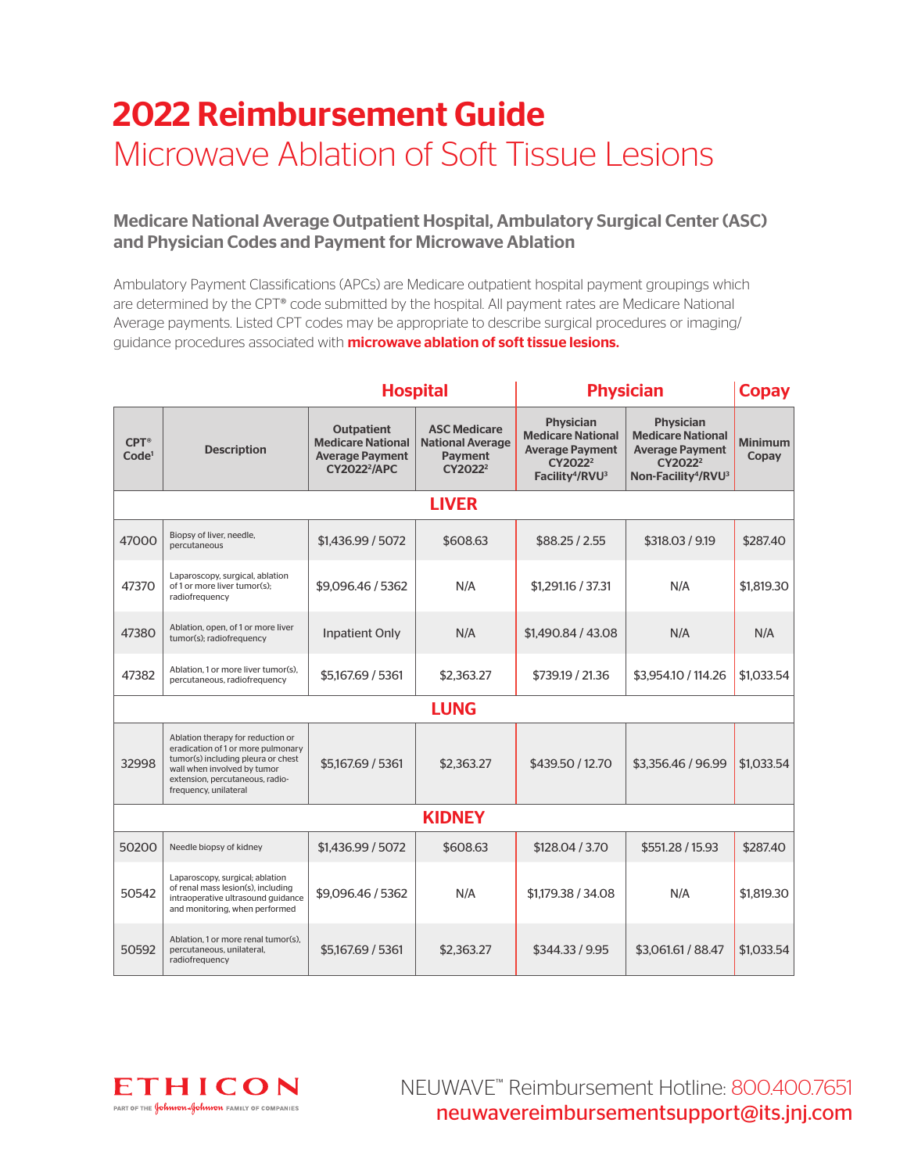# 2022 Reimbursement Guide Microwave Ablation of Soft Tissue Lesions

### Medicare National Average Outpatient Hospital, Ambulatory Surgical Center (ASC) and Physician Codes and Payment for Microwave Ablation

Ambulatory Payment Classifications (APCs) are Medicare outpatient hospital payment groupings which are determined by the CPT® code submitted by the hospital. All payment rates are Medicare National Average payments. Listed CPT codes may be appropriate to describe surgical procedures or imaging/ guidance procedures associated with **microwave ablation of soft tissue lesions.** 

|                                    |                                                                                                                                                                                                          | <b>Hospital</b>                                                                               |                                                                                         | <b>Physician</b>                                                                                                                         |                                                                                                                                              | <b>Copay</b>            |
|------------------------------------|----------------------------------------------------------------------------------------------------------------------------------------------------------------------------------------------------------|-----------------------------------------------------------------------------------------------|-----------------------------------------------------------------------------------------|------------------------------------------------------------------------------------------------------------------------------------------|----------------------------------------------------------------------------------------------------------------------------------------------|-------------------------|
| $CPT^{\circ}$<br>Code <sup>1</sup> | <b>Description</b>                                                                                                                                                                                       | <b>Outpatient</b><br><b>Medicare National</b><br><b>Average Payment</b><br><b>CY20222/APC</b> | <b>ASC Medicare</b><br><b>National Average</b><br><b>Payment</b><br>CY2022 <sup>2</sup> | <b>Physician</b><br><b>Medicare National</b><br><b>Average Payment</b><br>CY2022 <sup>2</sup><br>Facility <sup>4</sup> /RVU <sup>3</sup> | <b>Physician</b><br><b>Medicare National</b><br><b>Average Payment</b><br>CY2022 <sup>2</sup><br>Non-Facility <sup>4</sup> /RVU <sup>3</sup> | <b>Minimum</b><br>Copay |
|                                    |                                                                                                                                                                                                          |                                                                                               | <b>LIVER</b>                                                                            |                                                                                                                                          |                                                                                                                                              |                         |
| 47000                              | Biopsy of liver, needle,<br>percutaneous                                                                                                                                                                 | \$1,436.99 / 5072                                                                             | \$608.63                                                                                | \$88.25/2.55                                                                                                                             | \$318.03 / 9.19                                                                                                                              | \$287.40                |
| 47370                              | Laparoscopy, surgical, ablation<br>of 1 or more liver tumor(s);<br>radiofrequency                                                                                                                        | \$9.096.46 / 5362                                                                             | N/A                                                                                     | \$1,291.16 / 37.31                                                                                                                       | N/A                                                                                                                                          | \$1,819.30              |
| 47380                              | Ablation, open, of 1 or more liver<br>tumor(s); radiofrequency                                                                                                                                           | <b>Inpatient Only</b>                                                                         | N/A                                                                                     | \$1,490.84 / 43.08                                                                                                                       | N/A                                                                                                                                          | N/A                     |
| 47382                              | Ablation, 1 or more liver tumor(s).<br>percutaneous, radiofrequency                                                                                                                                      | \$5,167,69 / 5361                                                                             | \$2,363.27                                                                              | \$739.19 / 21.36                                                                                                                         | \$3,954.10 / 114.26                                                                                                                          | \$1.033.54              |
| <b>LUNG</b>                        |                                                                                                                                                                                                          |                                                                                               |                                                                                         |                                                                                                                                          |                                                                                                                                              |                         |
| 32998                              | Ablation therapy for reduction or<br>eradication of 1 or more pulmonary<br>tumor(s) including pleura or chest<br>wall when involved by tumor<br>extension, percutaneous, radio-<br>frequency, unilateral | \$5,167.69 / 5361                                                                             | \$2,363.27                                                                              | \$439.50 / 12.70                                                                                                                         | \$3,356.46 / 96.99                                                                                                                           | \$1.033.54              |
| <b>KIDNEY</b>                      |                                                                                                                                                                                                          |                                                                                               |                                                                                         |                                                                                                                                          |                                                                                                                                              |                         |
| 50200                              | Needle biopsy of kidney                                                                                                                                                                                  | \$1,436.99 / 5072                                                                             | \$608.63                                                                                | \$128,04 / 3.70                                                                                                                          | \$551.28 / 15.93                                                                                                                             | \$287.40                |
| 50542                              | Laparoscopy, surgical: ablation<br>of renal mass lesion(s), including<br>intraoperative ultrasound guidance<br>and monitoring, when performed                                                            | \$9,096.46 / 5362                                                                             | N/A                                                                                     | \$1,179.38 / 34.08                                                                                                                       | N/A                                                                                                                                          | \$1,819.30              |
| 50592                              | Ablation, 1 or more renal tumor(s).<br>percutaneous, unilateral,<br>radiofrequency                                                                                                                       | \$5,167,69 / 5361                                                                             | \$2,363,27                                                                              | \$344.33 / 9.95                                                                                                                          | \$3,061.61 / 88.47                                                                                                                           | \$1.033.54              |

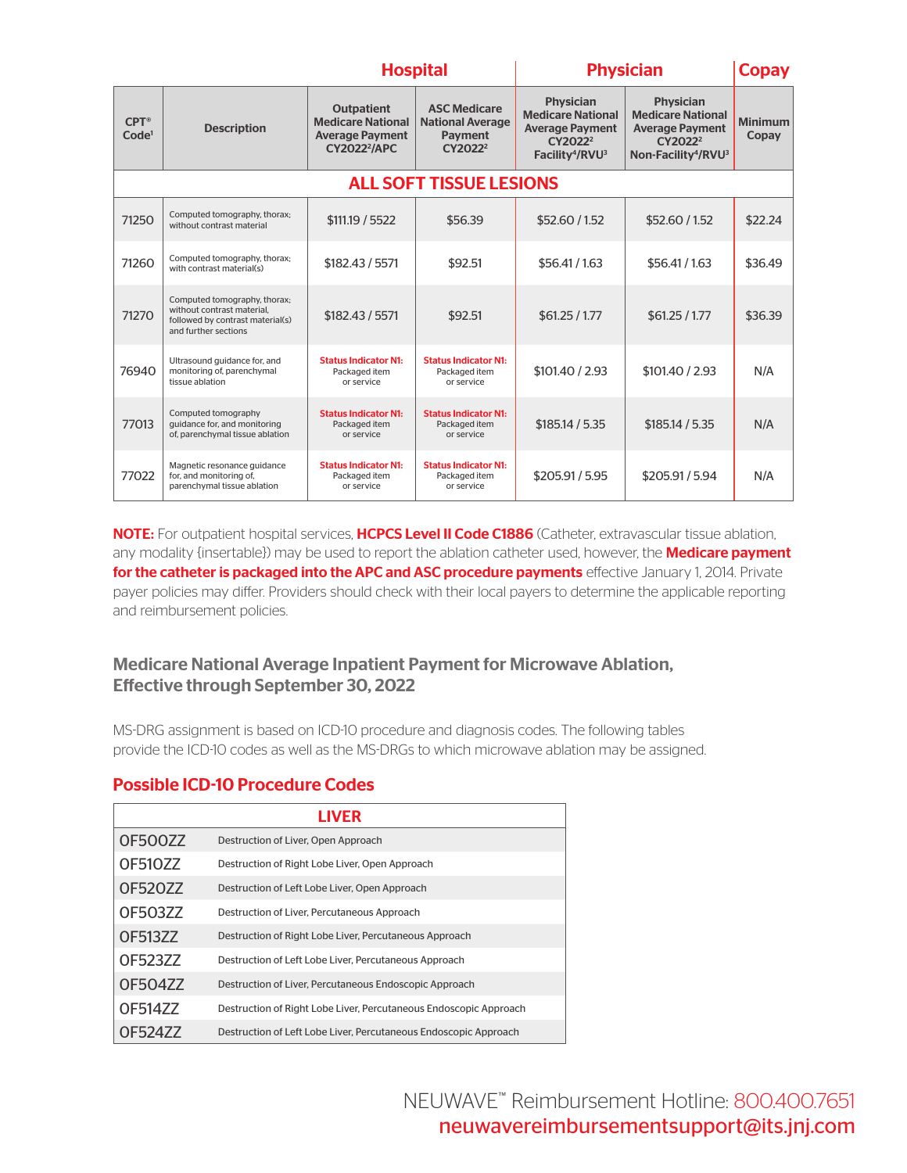|                                    |                                                                                                                        | <b>Hospital</b>                                                                               |                                                                                  | <b>Physician</b>                                                                                                                         |                                                                                                                                              | <b>Copay</b>            |
|------------------------------------|------------------------------------------------------------------------------------------------------------------------|-----------------------------------------------------------------------------------------------|----------------------------------------------------------------------------------|------------------------------------------------------------------------------------------------------------------------------------------|----------------------------------------------------------------------------------------------------------------------------------------------|-------------------------|
| $CPT^{\circ}$<br>Code <sup>1</sup> | <b>Description</b>                                                                                                     | <b>Outpatient</b><br><b>Medicare National</b><br><b>Average Payment</b><br><b>CY20222/APC</b> | <b>ASC Medicare</b><br><b>National Average</b><br>Payment<br>CY2022 <sup>2</sup> | <b>Physician</b><br><b>Medicare National</b><br><b>Average Payment</b><br>CY2022 <sup>2</sup><br>Facility <sup>4</sup> /RVU <sup>3</sup> | <b>Physician</b><br><b>Medicare National</b><br><b>Average Payment</b><br>CY2022 <sup>2</sup><br>Non-Facility <sup>4</sup> /RVU <sup>3</sup> | <b>Minimum</b><br>Copay |
| <b>ALL SOFT TISSUE LESIONS</b>     |                                                                                                                        |                                                                                               |                                                                                  |                                                                                                                                          |                                                                                                                                              |                         |
| 71250                              | Computed tomography, thorax;<br>without contrast material                                                              | \$111.19 / 5522                                                                               | \$56.39                                                                          | \$52.60/1.52                                                                                                                             | \$52.60 / 1.52                                                                                                                               | \$22.24                 |
| 71260                              | Computed tomography, thorax;<br>with contrast material(s)                                                              | \$182.43 / 5571                                                                               | \$92.51                                                                          | \$56.41/1.63                                                                                                                             | \$56.41/1.63                                                                                                                                 | \$36.49                 |
| 71270                              | Computed tomography, thorax;<br>without contrast material.<br>followed by contrast material(s)<br>and further sections | \$182.43 / 5571                                                                               | \$92.51                                                                          | \$61.25 / 1.77                                                                                                                           | \$61.25 / 1.77                                                                                                                               | \$36.39                 |
| 76940                              | Ultrasound guidance for, and<br>monitoring of, parenchymal<br>tissue ablation                                          | <b>Status Indicator N1:</b><br>Packaged item<br>or service                                    | <b>Status Indicator N1:</b><br>Packaged item<br>or service                       | \$101.40 / 2.93                                                                                                                          | \$101.40 / 2.93                                                                                                                              | N/A                     |
| 77013                              | Computed tomography<br>guidance for, and monitoring<br>of, parenchymal tissue ablation                                 | <b>Status Indicator N1:</b><br>Packaged item<br>or service                                    | <b>Status Indicator N1:</b><br>Packaged item<br>or service                       | \$185.14 / 5.35                                                                                                                          | \$185.14 / 5.35                                                                                                                              | N/A                     |
| 77022                              | Magnetic resonance guidance<br>for, and monitoring of,<br>parenchymal tissue ablation                                  | <b>Status Indicator N1:</b><br>Packaged item<br>or service                                    | <b>Status Indicator N1:</b><br>Packaged item<br>or service                       | \$205.91 / 5.95                                                                                                                          | \$205.91 / 5.94                                                                                                                              | N/A                     |

NOTE: For outpatient hospital services, HCPCS Level II Code C1886 (Catheter, extravascular tissue ablation, any modality {insertable}) may be used to report the ablation catheter used, however, the **Medicare payment** for the catheter is packaged into the APC and ASC procedure payments effective January 1, 2014. Private payer policies may differ. Providers should check with their local payers to determine the applicable reporting and reimbursement policies.

### Medicare National Average Inpatient Payment for Microwave Ablation, Effective through September 30, 2022

MS-DRG assignment is based on ICD-10 procedure and diagnosis codes. The following tables provide the ICD-10 codes as well as the MS-DRGs to which microwave ablation may be assigned.

#### Possible ICD-10 Procedure Codes

| LIVER          |                                                                   |  |
|----------------|-------------------------------------------------------------------|--|
| <b>OF500ZZ</b> | Destruction of Liver, Open Approach                               |  |
| OF510ZZ        | Destruction of Right Lobe Liver, Open Approach                    |  |
| OF520ZZ        | Destruction of Left Lobe Liver, Open Approach                     |  |
| OF503ZZ        | Destruction of Liver, Percutaneous Approach                       |  |
| <b>OF513ZZ</b> | Destruction of Right Lobe Liver, Percutaneous Approach            |  |
| OF52377        | Destruction of Left Lobe Liver, Percutaneous Approach             |  |
| OF504ZZ        | Destruction of Liver, Percutaneous Endoscopic Approach            |  |
| OF514ZZ        | Destruction of Right Lobe Liver, Percutaneous Endoscopic Approach |  |
| OF52477        | Destruction of Left Lobe Liver, Percutaneous Endoscopic Approach  |  |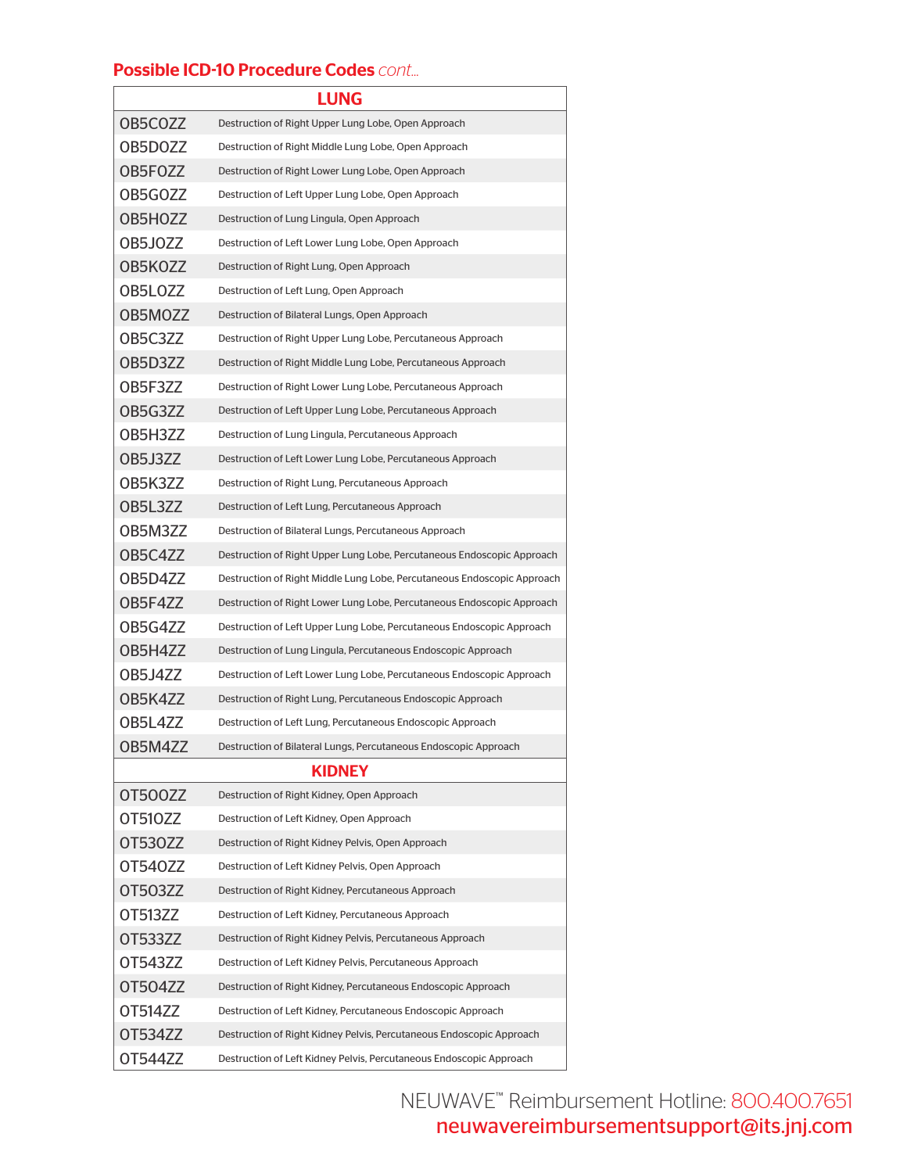### Possible ICD-10 Procedure Codes *cont...*

| <b>LUNG</b>    |                                                                         |  |  |  |
|----------------|-------------------------------------------------------------------------|--|--|--|
| OB5COZZ        | Destruction of Right Upper Lung Lobe, Open Approach                     |  |  |  |
| OB5DOZZ        | Destruction of Right Middle Lung Lobe, Open Approach                    |  |  |  |
| OB5FOZZ        | Destruction of Right Lower Lung Lobe, Open Approach                     |  |  |  |
| OB5GOZZ        | Destruction of Left Upper Lung Lobe, Open Approach                      |  |  |  |
| OB5HOZZ        | Destruction of Lung Lingula, Open Approach                              |  |  |  |
| OB5JOZZ        | Destruction of Left Lower Lung Lobe, Open Approach                      |  |  |  |
| OB5KOZZ        | Destruction of Right Lung, Open Approach                                |  |  |  |
| OB5LOZZ        | Destruction of Left Lung, Open Approach                                 |  |  |  |
| OB5MOZZ        | Destruction of Bilateral Lungs, Open Approach                           |  |  |  |
| OB5C3ZZ        | Destruction of Right Upper Lung Lobe, Percutaneous Approach             |  |  |  |
| OB5D3ZZ        | Destruction of Right Middle Lung Lobe, Percutaneous Approach            |  |  |  |
| OB5F3ZZ        | Destruction of Right Lower Lung Lobe, Percutaneous Approach             |  |  |  |
| OB5G3ZZ        | Destruction of Left Upper Lung Lobe, Percutaneous Approach              |  |  |  |
| OB5H3ZZ        | Destruction of Lung Lingula, Percutaneous Approach                      |  |  |  |
| OB5J3ZZ        | Destruction of Left Lower Lung Lobe, Percutaneous Approach              |  |  |  |
| OB5K3ZZ        | Destruction of Right Lung, Percutaneous Approach                        |  |  |  |
| OB5L3ZZ        | Destruction of Left Lung, Percutaneous Approach                         |  |  |  |
| OB5M3ZZ        | Destruction of Bilateral Lungs, Percutaneous Approach                   |  |  |  |
| OB5C4ZZ        | Destruction of Right Upper Lung Lobe, Percutaneous Endoscopic Approach  |  |  |  |
| OB5D4ZZ        | Destruction of Right Middle Lung Lobe, Percutaneous Endoscopic Approach |  |  |  |
| OB5F4ZZ        | Destruction of Right Lower Lung Lobe, Percutaneous Endoscopic Approach  |  |  |  |
| OB5G4ZZ        | Destruction of Left Upper Lung Lobe, Percutaneous Endoscopic Approach   |  |  |  |
| OB5H4ZZ        | Destruction of Lung Lingula, Percutaneous Endoscopic Approach           |  |  |  |
| <b>OB5J4ZZ</b> | Destruction of Left Lower Lung Lobe, Percutaneous Endoscopic Approach   |  |  |  |
| OB5K4ZZ        | Destruction of Right Lung, Percutaneous Endoscopic Approach             |  |  |  |
| <b>OB5L47Z</b> | Destruction of Left Lung, Percutaneous Endoscopic Approach              |  |  |  |
| OB5M4ZZ        | Destruction of Bilateral Lungs, Percutaneous Endoscopic Approach        |  |  |  |
| <b>KIDNEY</b>  |                                                                         |  |  |  |
| OT500ZZ        | Destruction of Right Kidney, Open Approach                              |  |  |  |
| OT510ZZ        | Destruction of Left Kidney, Open Approach                               |  |  |  |
| <b>OT530ZZ</b> | Destruction of Right Kidney Pelvis, Open Approach                       |  |  |  |
| OT540ZZ        | Destruction of Left Kidney Pelvis, Open Approach                        |  |  |  |
| OT503ZZ        | Destruction of Right Kidney, Percutaneous Approach                      |  |  |  |
| OT513ZZ        | Destruction of Left Kidney, Percutaneous Approach                       |  |  |  |
| OT533ZZ        | Destruction of Right Kidney Pelvis, Percutaneous Approach               |  |  |  |
| OT543ZZ        | Destruction of Left Kidney Pelvis, Percutaneous Approach                |  |  |  |
| <b>OT504ZZ</b> | Destruction of Right Kidney, Percutaneous Endoscopic Approach           |  |  |  |
| OT514ZZ        | Destruction of Left Kidney, Percutaneous Endoscopic Approach            |  |  |  |
| OT534ZZ        | Destruction of Right Kidney Pelvis, Percutaneous Endoscopic Approach    |  |  |  |
| OT544ZZ        | Destruction of Left Kidney Pelvis, Percutaneous Endoscopic Approach     |  |  |  |